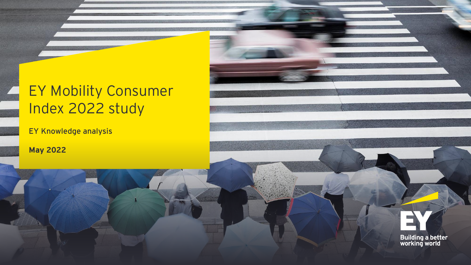# EY Mobility Consumer Index 2022 study

EY Knowledge analysis

**May 2022**



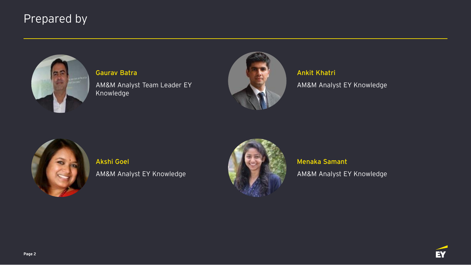#### Prepared by



**Gaurav Batra** AM&M Analyst Team Leader EY Knowledge



**Ankit Khatri** AM&M Analyst EY Knowledge



**Akshi Goel** AM&M Analyst EY Knowledge



**Menaka Samant** AM&M Analyst EY Knowledge

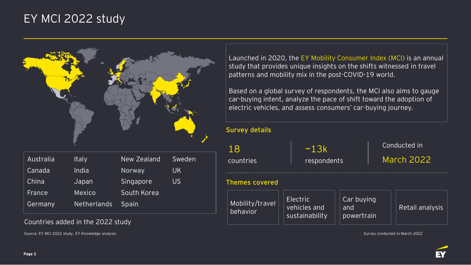#### EY MCI 2022 study



| Australia     | <b>Italy</b>       | New Zealand  | Sweden |
|---------------|--------------------|--------------|--------|
| Canada        | India              | Norway       | UK     |
| China         | Japan              | Singapore    | US     |
| <b>France</b> | <b>Mexico</b>      | South Korea  |        |
| Germany       | <b>Netherlands</b> | <b>Spain</b> |        |

#### Countries added in the 2022 study

Source: EY MCI 2022 study, EY Knowledge analysis. Survey conducted in March 2022

Launched in 2020, the EY Mobility Consumer Index (MCI) is an annual study that provides unique insights on the shifts witnessed in travel patterns and mobility mix in the post-COVID-19 world.

Based on a global survey of respondents, the MCI also aims to gauge car-buying intent, analyze the pace of shift toward the adoption of electric vehicles, and assess consumers' car-buying journey.

| <b>Survey details</b>       |                                            |                                 |                                   |  |
|-----------------------------|--------------------------------------------|---------------------------------|-----------------------------------|--|
| 18<br>countries             | ~13k<br>respondents                        |                                 | Conducted in<br><b>March 2022</b> |  |
| <b>Themes covered</b>       |                                            |                                 |                                   |  |
| Mobility/travel<br>behavior | Electric<br>vehicles and<br>sustainability | Car buying<br>and<br>powertrain | Retail analysis                   |  |

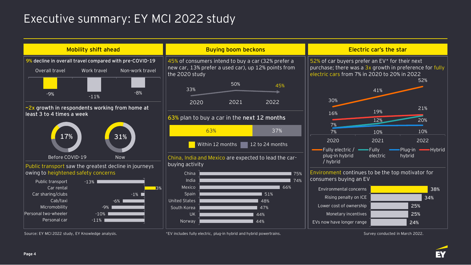### Executive summary: EY MCI 2022 study



**24% 25% 25%** **34%**

**38%**



52%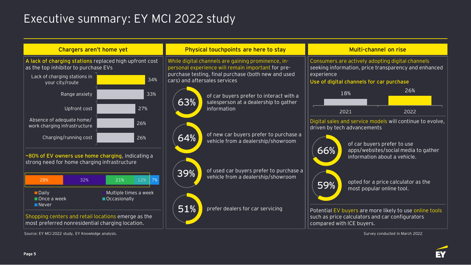### Executive summary: EY MCI 2022 study

| Chargers aren't home yet                                                                                                   |                                                                   | Physical touchpoints are here to stay                                                                    |                                                                               | Multi-channel on rise                                                                                    |                                                                  |                                                           |
|----------------------------------------------------------------------------------------------------------------------------|-------------------------------------------------------------------|----------------------------------------------------------------------------------------------------------|-------------------------------------------------------------------------------|----------------------------------------------------------------------------------------------------------|------------------------------------------------------------------|-----------------------------------------------------------|
| A lack of charging stations replaced high upfront cost<br>as the top inhibitor to purchase EVs                             |                                                                   | While digital channels are gaining prominence, in-<br>personal experience will remain important for pre- |                                                                               | Consumers are actively adopting digital channels<br>seeking information, price transparency and enhanced |                                                                  |                                                           |
| Lack of charging stations in<br>your city/route                                                                            | 34%                                                               | purchase testing, final purchase (both new and used<br>cars) and aftersales services                     |                                                                               | experience<br>Use of digital channels for car purchase                                                   |                                                                  |                                                           |
| Range anxiety                                                                                                              | 33%                                                               | of car buyers prefer to interact with a                                                                  |                                                                               |                                                                                                          | 18%                                                              | 26%                                                       |
| Upfront cost                                                                                                               | 27%                                                               | 63%                                                                                                      | salesperson at a dealership to gather<br>information                          | 2021                                                                                                     |                                                                  | 2022                                                      |
| Absence of adequate home/<br>work charging infrastructure                                                                  | 26%                                                               |                                                                                                          |                                                                               |                                                                                                          | driven by tech advancements                                      | Digital sales and service models will continue to evolve, |
| Charging/running cost<br>~80% of EV owners use home charging, indicating a<br>strong need for home charging infrastructure | 26%                                                               | 64%                                                                                                      | of new car buyers prefer to purchase a<br>vehicle from a dealership/showroom  | 66%                                                                                                      | of car buyers prefer to use<br>information about a vehicle.      | apps/websites/social media to gather                      |
| 32%<br>28%<br>$\blacksquare$ Daily<br>Once a week                                                                          | 21%<br>12%<br>$\vert$ 7%<br>Multiple times a week<br>Occasionally | 39%                                                                                                      | of used car buyers prefer to purchase a<br>vehicle from a dealership/showroom | 59%                                                                                                      | opted for a price calculator as the<br>most popular online tool. |                                                           |
| Never<br>Shopping centers and retail locations emerge as the<br>most preferred nonresidential charging location.           |                                                                   | 51%                                                                                                      | prefer dealers for car servicing                                              | compared with ICE buyers.                                                                                | such as price calculators and car configurators                  | Potential EV buyers are more likely to use online tools   |

Source: EY MCI 2022 study, EY Knowledge analysis. Survey conducted in March 2022

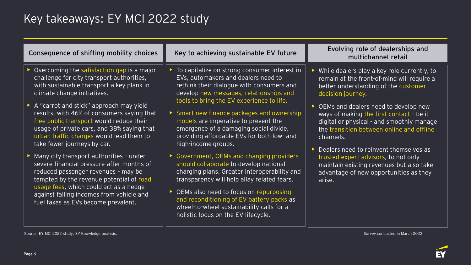## Key takeaways: EY MCI 2022 study

| Consequence of shifting mobility choices                                                                                                                                                                                                                                                                                                                                                                                                                                                                                                                                                                                                                                                                                                  | Key to achieving sustainable EV future                                                                                                                                                                                                                                                                                                                                                                                                                                                                                                                                                                                                                                                                           | Evolving role of dealerships and<br>multichannel retail                                                                                                                                                                                                                                                                                                                                                                                                                                                                             |
|-------------------------------------------------------------------------------------------------------------------------------------------------------------------------------------------------------------------------------------------------------------------------------------------------------------------------------------------------------------------------------------------------------------------------------------------------------------------------------------------------------------------------------------------------------------------------------------------------------------------------------------------------------------------------------------------------------------------------------------------|------------------------------------------------------------------------------------------------------------------------------------------------------------------------------------------------------------------------------------------------------------------------------------------------------------------------------------------------------------------------------------------------------------------------------------------------------------------------------------------------------------------------------------------------------------------------------------------------------------------------------------------------------------------------------------------------------------------|-------------------------------------------------------------------------------------------------------------------------------------------------------------------------------------------------------------------------------------------------------------------------------------------------------------------------------------------------------------------------------------------------------------------------------------------------------------------------------------------------------------------------------------|
| Overcoming the satisfaction gap is a major<br>challenge for city transport authorities,<br>with sustainable transport a key plank in<br>climate change initiatives.<br>A "carrot and stick" approach may yield<br>results, with 46% of consumers saying that<br>free public transport would reduce their<br>usage of private cars, and 38% saying that<br>urban traffic charges would lead them to<br>take fewer journeys by car.<br>Many city transport authorities - under<br>severe financial pressure after months of<br>reduced passenger revenues - may be<br>tempted by the revenue potential of road<br>usage fees, which could act as a hedge<br>against falling incomes from vehicle and<br>fuel taxes as EVs become prevalent. | To capitalize on strong consumer interest in<br>▶<br>EVs, automakers and dealers need to<br>rethink their dialogue with consumers and<br>develop new messages, relationships and<br>tools to bring the EV experience to life.<br>Smart new finance packages and ownership<br>▶<br>models are imperative to prevent the<br>emergence of a damaging social divide,<br>providing affordable EVs for both low- and<br>high-income groups.<br>Government, OEMs and charging providers<br>should collaborate to develop national<br>charging plans. Greater interoperability and<br>transparency will help allay related fears.<br>OEMs also need to focus on repurposing<br>and reconditioning of EV battery packs as | While dealers play a key role currently, to<br>remain at the front-of-mind will require a<br>better understanding of the customer<br>decision journey.<br>OEMs and dealers need to develop new<br>ways of making the first contact - be it<br>digital or physical - and smoothly manage<br>the transition between online and offline<br>channels.<br>Dealers need to reinvent themselves as<br>trusted expert advisors, to not only<br>maintain existing revenues but also take<br>advantage of new opportunities as they<br>arise. |
|                                                                                                                                                                                                                                                                                                                                                                                                                                                                                                                                                                                                                                                                                                                                           | wheel-to-wheel sustainability calls for a<br>holistic focus on the EV lifecycle.                                                                                                                                                                                                                                                                                                                                                                                                                                                                                                                                                                                                                                 |                                                                                                                                                                                                                                                                                                                                                                                                                                                                                                                                     |

Source: EY MCI 2022 study, EY Knowledge analysis. Survey conducted in March 2022

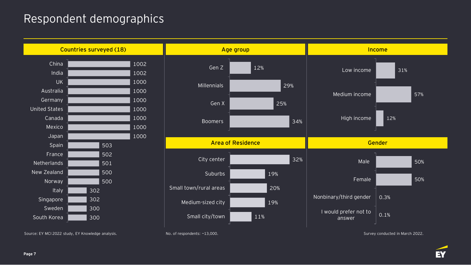#### Respondent demographics